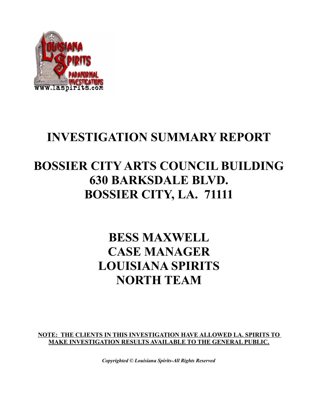

# **INVESTIGATION SUMMARY REPORT**

# **BOSSIER CITY ARTS COUNCIL BUILDING 630 BARKSDALE BLVD. BOSSIER CITY, LA. 71111**

# **BESS MAXWELL CASE MANAGER LOUISIANA SPIRITS NORTH TEAM**

**NOTE: THE CLIENTS IN THIS INVESTIGATION HAVE ALLOWED LA. SPIRITS TO MAKE INVESTIGATION RESULTS AVAILABLE TO THE GENERAL PUBLIC.**

*Copyrighted © Louisiana Spirits-All Rights Reserved*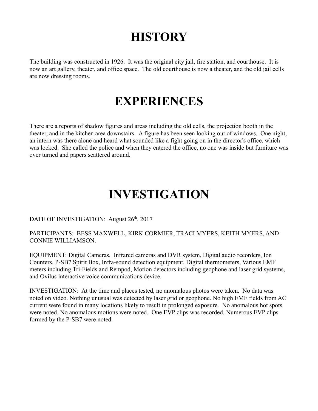# **HISTORY**

The building was constructed in 1926. It was the original city jail, fire station, and courthouse. It is now an art gallery, theater, and office space. The old courthouse is now a theater, and the old jail cells are now dressing rooms.

## **EXPERIENCES**

There are a reports of shadow figures and areas including the old cells, the projection booth in the theater, and in the kitchen area downstairs. A figure has been seen looking out of windows. One night, an intern was there alone and heard what sounded like a fight going on in the director's office, which was locked. She called the police and when they entered the office, no one was inside but furniture was over turned and papers scattered around.

# **INVESTIGATION**

#### DATE OF INVESTIGATION: August 26<sup>th</sup>, 2017

#### PARTICIPANTS: BESS MAXWELL, KIRK CORMIER, TRACI MYERS, KEITH MYERS, AND CONNIE WILLIAMSON.

EQUIPMENT: Digital Cameras, Infrared cameras and DVR system, Digital audio recorders, Ion Counters, P-SB7 Spirit Box, Infra-sound detection equipment, Digital thermometers, Various EMF meters including Tri-Fields and Rempod, Motion detectors including geophone and laser grid systems, and Ovilus interactive voice communications device.

INVESTIGATION: At the time and places tested, no anomalous photos were taken. No data was noted on video. Nothing unusual was detected by laser grid or geophone. No high EMF fields from AC current were found in many locations likely to result in prolonged exposure. No anomalous hot spots were noted. No anomalous motions were noted. One EVP clips was recorded. Numerous EVP clips formed by the P-SB7 were noted.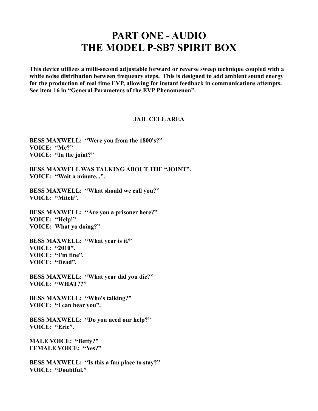### **PART ONE - AUDIO THE MODEL P-SB7 SPIRIT BOX**

**This device utilizes a milli-second adjustable forward or reverse sweep technique coupled with a white noise distribution between frequency steps. This is designed to add ambient sound energy for the production of real time EVP, allowing for instant feedback in communications attempts. See item 16 in "General Parameters of the EVP Phenomenon".** 

#### **JAIL CELL AREA**

**BESS MAXWELL: "Were you from the 1800's?" VOICE: "Me?" VOICE: "In the joint?"**

**BESS MAXWELL WAS TALKING ABOUT THE "JOINT". VOICE: "Wait a minute...".**

**BESS MAXWELL: "What should we call you?" VOICE: "Mitch".**

**BESS MAXWELL: "Are you a prisoner here?" VOICE: "Help!" VOICE: What yo doing?"**

**BESS MAXWELL: "What year is it/" VOICE: "2010". VOICE: "I'm fine". VOICE: "Dead".**

**BESS MAXWELL: "What year did you die?" VOICE: "WHAT??"**

**BESS MAXWELL: "Who's talking?" VOICE: "I can hear you".**

**BESS MAXWELL: "Do you need our help?" VOICE: "Eric".**

**MALE VOICE: "Betty?" FEMALE VOICE: "Yes?"**

**BESS MAXWELL: "Is this a fun place to stay?" VOICE: "Doubtful."**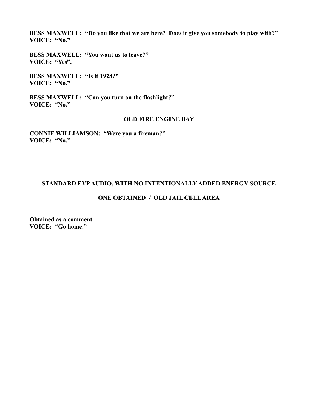**BESS MAXWELL: "Do you like that we are here? Does it give you somebody to play with?" VOICE: "No."**

**BESS MAXWELL: "You want us to leave?" VOICE: "Yes".**

**BESS MAXWELL: "Is it 1928?" VOICE: "No."**

**BESS MAXWELL: "Can you turn on the flashlight?" VOICE: "No."**

#### **OLD FIRE ENGINE BAY**

**CONNIE WILLIAMSON: "Were you a fireman?" VOICE: "No."**

#### **STANDARD EVP AUDIO, WITH NO INTENTIONALLY ADDED ENERGY SOURCE**

#### **ONE OBTAINED / OLD JAIL CELL AREA**

**Obtained as a comment. VOICE: "Go home."**